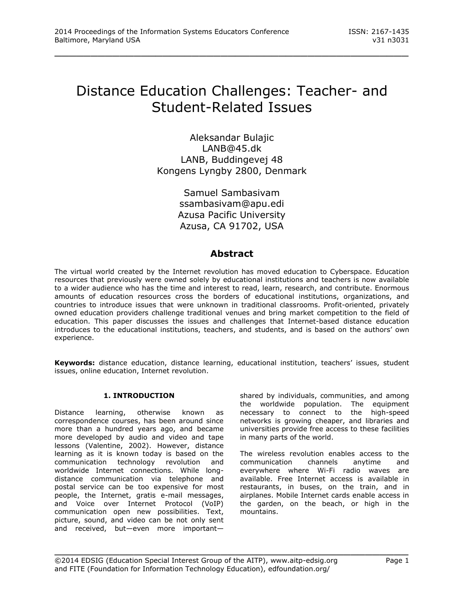# Distance Education Challenges: Teacher- and Student-Related Issues

\_\_\_\_\_\_\_\_\_\_\_\_\_\_\_\_\_\_\_\_\_\_\_\_\_\_\_\_\_\_\_\_\_\_\_\_\_\_\_\_\_\_\_\_\_\_\_\_\_

Aleksandar Bulajic [LANB@45.dk](mailto:LANB@45.dk) LANB, Buddingevej 48 Kongens Lyngby 2800, Denmark

> Samuel Sambasivam [ssambasivam@apu.edi](mailto:ssambasivam@apu.edi) Azusa Pacific University Azusa, CA 91702, USA

# **Abstract**

The virtual world created by the Internet revolution has moved education to Cyberspace. Education resources that previously were owned solely by educational institutions and teachers is now available to a wider audience who has the time and interest to read, learn, research, and contribute. Enormous amounts of education resources cross the borders of educational institutions, organizations, and countries to introduce issues that were unknown in traditional classrooms. Profit-oriented, privately owned education providers challenge traditional venues and bring market competition to the field of education. This paper discusses the issues and challenges that Internet-based distance education introduces to the educational institutions, teachers, and students, and is based on the authors' own experience.

**Keywords:** distance education, distance learning, educational institution, teachers' issues, student issues, online education, Internet revolution.

# **1. INTRODUCTION**

Distance learning, otherwise known as correspondence courses, has been around since more than a hundred years ago, and became more developed by audio and video and tape lessons (Valentine, 2002). However, distance learning as it is known today is based on the communication technology revolution and worldwide Internet connections. While longdistance communication via telephone and postal service can be too expensive for most people, the Internet, gratis e-mail messages, and Voice over Internet Protocol (VoIP) communication open new possibilities. Text, picture, sound, and video can be not only sent and received, but—even more importantshared by individuals, communities, and among the worldwide population. The equipment necessary to connect to the high-speed networks is growing cheaper, and libraries and universities provide free access to these facilities in many parts of the world.

The wireless revolution enables access to the communication channels anytime and everywhere where Wi-Fi radio waves are available. Free Internet access is available in restaurants, in buses, on the train, and in airplanes. Mobile Internet cards enable access in the garden, on the beach, or high in the mountains.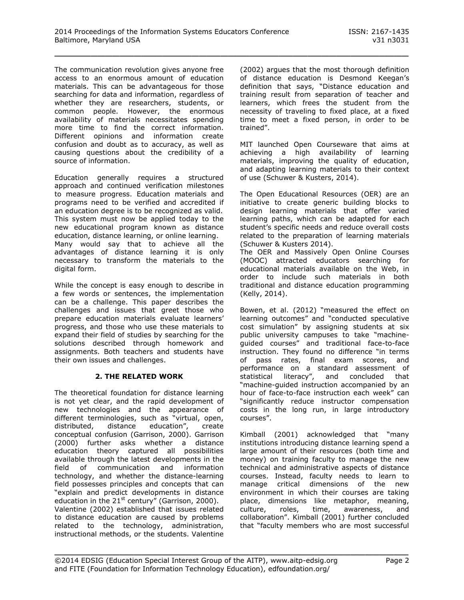The communication revolution gives anyone free access to an enormous amount of education materials. This can be advantageous for those searching for data and information, regardless of whether they are researchers, students, or common people. However, the enormous availability of materials necessitates spending more time to find the correct information. Different opinions and information create confusion and doubt as to accuracy, as well as causing questions about the credibility of a source of information.

Education generally requires a structured approach and continued verification milestones to measure progress. Education materials and programs need to be verified and accredited if an education degree is to be recognized as valid. This system must now be applied today to the new educational program known as distance education, distance learning, or online learning. Many would say that to achieve all the advantages of distance learning it is only necessary to transform the materials to the digital form.

While the concept is easy enough to describe in a few words or sentences, the implementation can be a challenge. This paper describes the challenges and issues that greet those who prepare education materials evaluate learners' progress, and those who use these materials to expand their field of studies by searching for the solutions described through homework and assignments. Both teachers and students have their own issues and challenges.

#### **2. THE RELATED WORK**

The theoretical foundation for distance learning is not yet clear, and the rapid development of new technologies and the appearance of different terminologies, such as "virtual, open, distributed, distance education", create conceptual confusion (Garrison, 2000). Garrison (2000) further asks whether a distance education theory captured all possibilities available through the latest developments in the field of communication and information technology, and whether the distance-learning field possesses principles and concepts that can "explain and predict developments in distance education in the  $21^{st}$  century" (Garrison, 2000). Valentine (2002) established that issues related to distance education are caused by problems related to the technology, administration, instructional methods, or the students. Valentine

(2002) argues that the most thorough definition of distance education is Desmond Keegan's definition that says, "Distance education and training result from separation of teacher and learners, which frees the student from the necessity of traveling to fixed place, at a fixed time to meet a fixed person, in order to be trained".

MIT launched Open Courseware that aims at achieving a high availability of learning materials, improving the quality of education, and adapting learning materials to their context of use (Schuwer & Kusters, 2014).

The Open Educational Resources (OER) are an initiative to create generic building blocks to design learning materials that offer varied learning paths, which can be adapted for each student's specific needs and reduce overall costs related to the preparation of learning materials (Schuwer & Kusters 2014).

The OER and Massively Open Online Courses (MOOC) attracted educators searching for educational materials available on the Web, in order to include such materials in both traditional and distance education programming (Kelly, 2014).

Bowen, et al. (2012) "measured the effect on learning outcomes" and "conducted speculative cost simulation" by assigning students at six public university campuses to take "machineguided courses" and traditional face-to-face instruction. They found no difference "in terms of pass rates, final exam scores, and performance on a standard assessment of statistical literacy", and concluded that "machine-guided instruction accompanied by an hour of face-to-face instruction each week" can "significantly reduce instructor compensation costs in the long run, in large introductory courses".

Kimball (2001) acknowledged that "many institutions introducing distance learning spend a large amount of their resources (both time and money) on training faculty to manage the new technical and administrative aspects of distance courses. Instead, faculty needs to learn to manage critical dimensions of the new environment in which their courses are taking place, dimensions like metaphor, meaning, culture, roles, time, awareness, and collaboration". Kimball (2001) further concluded that "faculty members who are most successful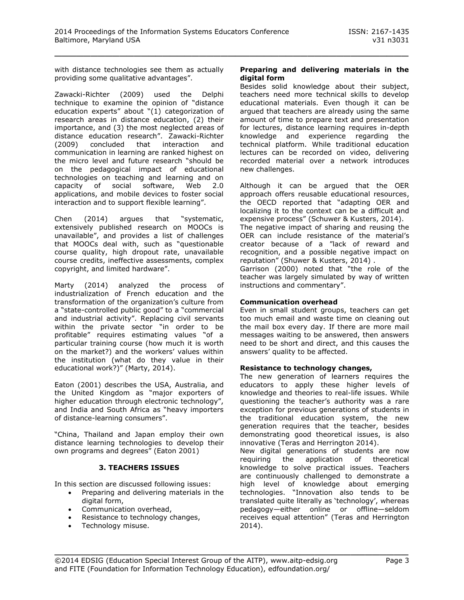with distance technologies see them as actually providing some qualitative advantages".

Zawacki-Richter (2009) used the Delphi technique to examine the opinion of "distance education experts" about "(1) categorization of research areas in distance education, (2) their importance, and (3) the most neglected areas of distance education research". Zawacki-Richter (2009) concluded that interaction and communication in learning are ranked highest on the micro level and future research "should be on the pedagogical impact of educational technologies on teaching and learning and on<br>capacity of social software, Web 2.0 capacity of social software, Web 2.0 applications, and mobile devices to foster social interaction and to support flexible learning".

Chen (2014) argues that "systematic, extensively published research on MOOCs is unavailable", and provides a list of challenges that MOOCs deal with, such as "questionable course quality, high dropout rate, unavailable course credits, ineffective assessments, complex copyright, and limited hardware".

Marty (2014) analyzed the process of industrialization of French education and the transformation of the organization's culture from a "state-controlled public good" to a "commercial and industrial activity". Replacing civil servants within the private sector "in order to be profitable" requires estimating values "of a particular training course (how much it is worth on the market?) and the workers' values within the institution (what do they value in their educational work?)" (Marty, 2014).

Eaton (2001) describes the USA, Australia, and the United Kingdom as "major exporters of higher education through electronic technology", and India and South Africa as "heavy importers of distance-learning consumers".

"China, Thailand and Japan employ their own distance learning technologies to develop their own programs and degrees" (Eaton 2001)

# **3. TEACHERS ISSUES**

In this section are discussed following issues:

- Preparing and delivering materials in the digital form,
- Communication overhead,
- Resistance to technology changes,
- Technology misuse.

#### **Preparing and delivering materials in the digital form**

Besides solid knowledge about their subject, teachers need more technical skills to develop educational materials. Even though it can be argued that teachers are already using the same amount of time to prepare text and presentation for lectures, distance learning requires in-depth knowledge and experience regarding the technical platform. While traditional education lectures can be recorded on video, delivering recorded material over a network introduces new challenges.

Although it can be argued that the OER approach offers reusable educational resources, the OECD reported that "adapting OER and localizing it to the context can be a difficult and expensive process" (Schuwer & Kusters, 2014).

The negative impact of sharing and reusing the OER can include resistance of the material's creator because of a "lack of reward and recognition, and a possible negative impact on reputation" (Shuwer & Kusters, 2014) .

Garrison (2000) noted that "the role of the teacher was largely simulated by way of written instructions and commentary".

#### **Communication overhead**

Even in small student groups, teachers can get too much email and waste time on cleaning out the mail box every day. If there are more mail messages waiting to be answered, then answers need to be short and direct, and this causes the answers' quality to be affected.

#### **Resistance to technology changes,**

The new generation of learners requires the educators to apply these higher levels of knowledge and theories to real-life issues. While questioning the teacher's authority was a rare exception for previous generations of students in the traditional education system, the new generation requires that the teacher, besides demonstrating good theoretical issues, is also innovative (Teras and Herrington 2014).

New digital generations of students are now requiring the application of theoretical knowledge to solve practical issues. Teachers are continuously challenged to demonstrate a high level of knowledge about emerging technologies. "Innovation also tends to be translated quite literally as 'technology', whereas pedagogy—either online or offline—seldom receives equal attention" (Teras and Herrington 2014).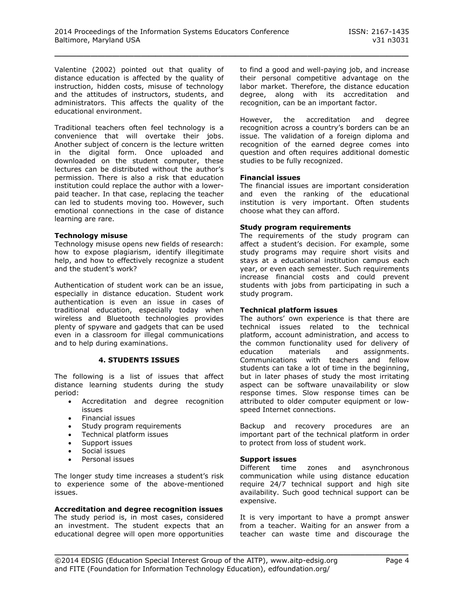Valentine (2002) pointed out that quality of distance education is affected by the quality of instruction, hidden costs, misuse of technology and the attitudes of instructors, students, and administrators. This affects the quality of the educational environment.

Traditional teachers often feel technology is a convenience that will overtake their jobs. Another subject of concern is the lecture written in the digital form. Once uploaded and downloaded on the student computer, these lectures can be distributed without the author's permission. There is also a risk that education institution could replace the author with a lowerpaid teacher. In that case, replacing the teacher can led to students moving too. However, such emotional connections in the case of distance learning are rare.

#### **Technology misuse**

Technology misuse opens new fields of research: how to expose plagiarism, identify illegitimate help, and how to effectively recognize a student and the student's work?

Authentication of student work can be an issue, especially in distance education. Student work authentication is even an issue in cases of traditional education, especially today when wireless and Bluetooth technologies provides plenty of spyware and gadgets that can be used even in a classroom for illegal communications and to help during examinations.

#### **4. STUDENTS ISSUES**

The following is a list of issues that affect distance learning students during the study period:

- Accreditation and degree recognition issues
- Financial issues
- Study program requirements
- Technical platform issues
- Support issues
- Social issues
- Personal issues

The longer study time increases a student's risk to experience some of the above-mentioned issues.

#### **Accreditation and degree recognition issues**

The study period is, in most cases, considered an investment. The student expects that an educational degree will open more opportunities

to find a good and well-paying job, and increase their personal competitive advantage on the labor market. Therefore, the distance education degree, along with its accreditation and recognition, can be an important factor.

However, the accreditation and degree recognition across a country's borders can be an issue. The validation of a foreign diploma and recognition of the earned degree comes into question and often requires additional domestic studies to be fully recognized.

#### **Financial issues**

The financial issues are important consideration and even the ranking of the educational institution is very important. Often students choose what they can afford.

#### **Study program requirements**

The requirements of the study program can affect a student's decision. For example, some study programs may require short visits and stays at a educational institution campus each year, or even each semester. Such requirements increase financial costs and could prevent students with jobs from participating in such a study program.

#### **Technical platform issues**

The authors' own experience is that there are technical issues related to the technical platform, account administration, and access to the common functionality used for delivery of education materials and assignments. Communications with teachers and fellow students can take a lot of time in the beginning, but in later phases of study the most irritating aspect can be software unavailability or slow response times. Slow response times can be attributed to older computer equipment or lowspeed Internet connections.

Backup and recovery procedures are an important part of the technical platform in order to protect from loss of student work.

#### **Support issues**

Different time zones and asynchronous communication while using distance education require 24/7 technical support and high site availability. Such good technical support can be expensive.

It is very important to have a prompt answer from a teacher. Waiting for an answer from a teacher can waste time and discourage the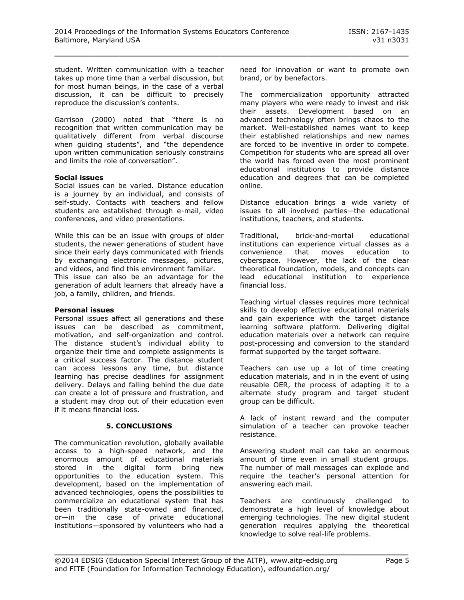student. Written communication with a teacher takes up more time than a verbal discussion, but for most human beings, in the case of a verbal discussion, it can be difficult to precisely reproduce the discussion's contents.

Garrison (2000) noted that "there is no recognition that written communication may be qualitatively different from verbal discourse when guiding students", and "the dependence upon written communication seriously constrains and limits the role of conversation".

#### **Social issues**

Social issues can be varied. Distance education is a journey by an individual, and consists of self-study. Contacts with teachers and fellow students are established through e-mail, video conferences, and video presentations.

While this can be an issue with groups of older students, the newer generations of student have since their early days communicated with friends by exchanging electronic messages, pictures, and videos, and find this environment familiar. This issue can also be an advantage for the generation of adult learners that already have a job, a family, children, and friends.

#### **Personal issues**

Personal issues affect all generations and these issues can be described as commitment, motivation, and self-organization and control. The distance student's individual ability to organize their time and complete assignments is a critical success factor. The distance student can access lessons any time, but distance learning has precise deadlines for assignment delivery. Delays and falling behind the due date can create a lot of pressure and frustration, and a student may drop out of their education even if it means financial loss.

# **5. CONCLUSIONS**

The communication revolution, globally available access to a high-speed network, and the enormous amount of educational materials stored in the digital form bring new opportunities to the education system. This development, based on the implementation of advanced technologies, opens the possibilities to commercialize an educational system that has been traditionally state-owned and financed, or—in the case of private educational institutions—sponsored by volunteers who had a

need for innovation or want to promote own brand, or by benefactors.

The commercialization opportunity attracted many players who were ready to invest and risk their assets. Development based on an advanced technology often brings chaos to the market. Well-established names want to keep their established relationships and new names are forced to be inventive in order to compete. Competition for students who are spread all over the world has forced even the most prominent educational institutions to provide distance education and degrees that can be completed online.

Distance education brings a wide variety of issues to all involved parties—the educational institutions, teachers, and students.

Traditional, brick-and-mortal educational institutions can experience virtual classes as a convenience that moves education to cyberspace. However, the lack of the clear theoretical foundation, models, and concepts can lead educational institution to experience financial loss.

Teaching virtual classes requires more technical skills to develop effective educational materials and gain experience with the target distance learning software platform. Delivering digital education materials over a network can require post-processing and conversion to the standard format supported by the target software.

Teachers can use up a lot of time creating education materials, and in in the event of using reusable OER, the process of adapting it to a alternate study program and target student group can be difficult.

A lack of instant reward and the computer simulation of a teacher can provoke teacher resistance.

Answering student mail can take an enormous amount of time even in small student groups. The number of mail messages can explode and require the teacher's personal attention for answering each mail.

Teachers are continuously challenged to demonstrate a high level of knowledge about emerging technologies. The new digital student generation requires applying the theoretical knowledge to solve real-life problems.